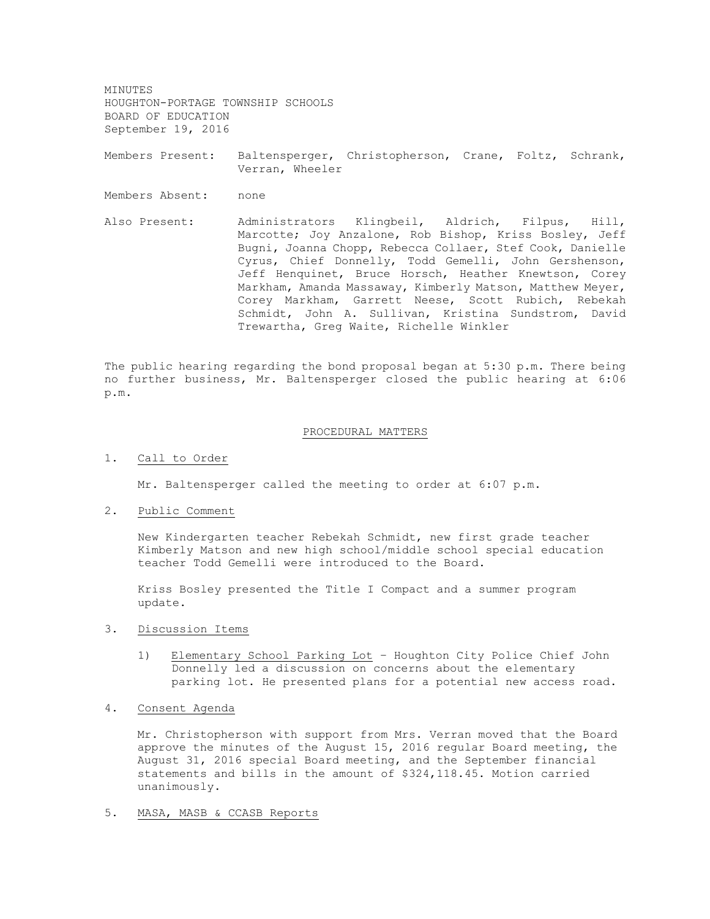MINUTES HOUGHTON-PORTAGE TOWNSHIP SCHOOLS BOARD OF EDUCATION September 19, 2016

Members Present: Baltensperger, Christopherson, Crane, Foltz, Schrank, Verran, Wheeler

Members Absent: none

Also Present: Administrators Klingbeil, Aldrich, Filpus, Hill, Marcotte; Joy Anzalone, Rob Bishop, Kriss Bosley, Jeff Bugni, Joanna Chopp, Rebecca Collaer, Stef Cook, Danielle Cyrus, Chief Donnelly, Todd Gemelli, John Gershenson, Jeff Henquinet, Bruce Horsch, Heather Knewtson, Corey Markham, Amanda Massaway, Kimberly Matson, Matthew Meyer, Corey Markham, Garrett Neese, Scott Rubich, Rebekah Schmidt, John A. Sullivan, Kristina Sundstrom, David Trewartha, Greg Waite, Richelle Winkler

The public hearing regarding the bond proposal began at 5:30 p.m. There being no further business, Mr. Baltensperger closed the public hearing at 6:06 p.m.

## PROCEDURAL MATTERS

1. Call to Order

Mr. Baltensperger called the meeting to order at 6:07 p.m.

2. Public Comment

New Kindergarten teacher Rebekah Schmidt, new first grade teacher Kimberly Matson and new high school/middle school special education teacher Todd Gemelli were introduced to the Board.

Kriss Bosley presented the Title I Compact and a summer program update.

- 3. Discussion Items
	- 1) Elementary School Parking Lot Houghton City Police Chief John Donnelly led a discussion on concerns about the elementary parking lot. He presented plans for a potential new access road.
- 4. Consent Agenda

Mr. Christopherson with support from Mrs. Verran moved that the Board approve the minutes of the August 15, 2016 regular Board meeting, the August 31, 2016 special Board meeting, and the September financial statements and bills in the amount of \$324,118.45. Motion carried unanimously.

5. MASA, MASB & CCASB Reports